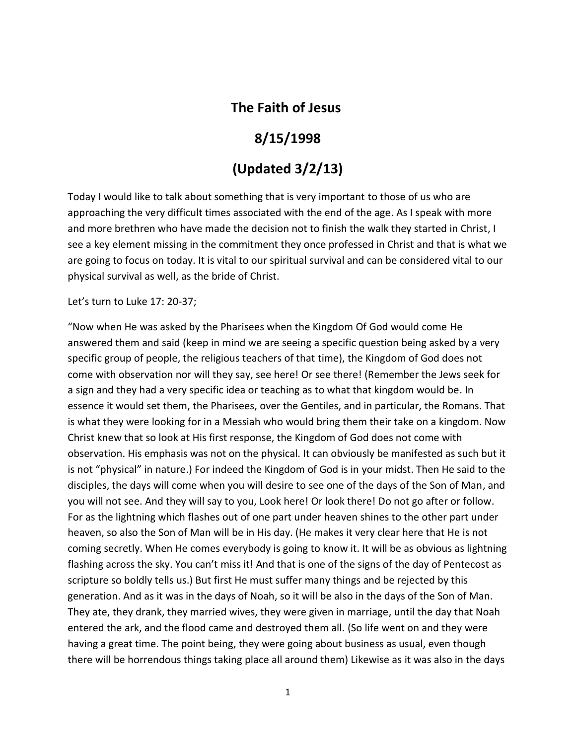## **The Faith of Jesus**

## **8/15/1998**

# **(Updated 3/2/13)**

Today I would like to talk about something that is very important to those of us who are approaching the very difficult times associated with the end of the age. As I speak with more and more brethren who have made the decision not to finish the walk they started in Christ, I see a key element missing in the commitment they once professed in Christ and that is what we are going to focus on today. It is vital to our spiritual survival and can be considered vital to our physical survival as well, as the bride of Christ.

Let's turn to Luke 17: 20-37;

"Now when He was asked by the Pharisees when the Kingdom Of God would come He answered them and said (keep in mind we are seeing a specific question being asked by a very specific group of people, the religious teachers of that time), the Kingdom of God does not come with observation nor will they say, see here! Or see there! (Remember the Jews seek for a sign and they had a very specific idea or teaching as to what that kingdom would be. In essence it would set them, the Pharisees, over the Gentiles, and in particular, the Romans. That is what they were looking for in a Messiah who would bring them their take on a kingdom. Now Christ knew that so look at His first response, the Kingdom of God does not come with observation. His emphasis was not on the physical. It can obviously be manifested as such but it is not "physical" in nature.) For indeed the Kingdom of God is in your midst. Then He said to the disciples, the days will come when you will desire to see one of the days of the Son of Man, and you will not see. And they will say to you, Look here! Or look there! Do not go after or follow. For as the lightning which flashes out of one part under heaven shines to the other part under heaven, so also the Son of Man will be in His day. (He makes it very clear here that He is not coming secretly. When He comes everybody is going to know it. It will be as obvious as lightning flashing across the sky. You can't miss it! And that is one of the signs of the day of Pentecost as scripture so boldly tells us.) But first He must suffer many things and be rejected by this generation. And as it was in the days of Noah, so it will be also in the days of the Son of Man. They ate, they drank, they married wives, they were given in marriage, until the day that Noah entered the ark, and the flood came and destroyed them all. (So life went on and they were having a great time. The point being, they were going about business as usual, even though there will be horrendous things taking place all around them) Likewise as it was also in the days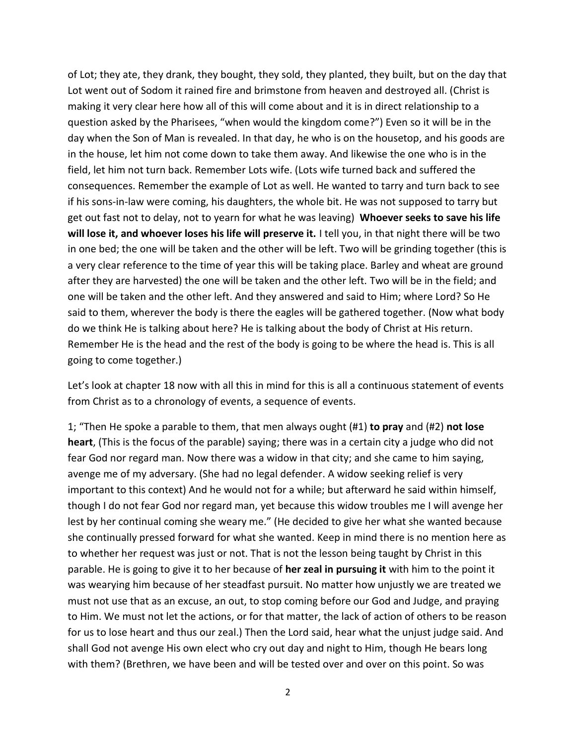of Lot; they ate, they drank, they bought, they sold, they planted, they built, but on the day that Lot went out of Sodom it rained fire and brimstone from heaven and destroyed all. (Christ is making it very clear here how all of this will come about and it is in direct relationship to a question asked by the Pharisees, "when would the kingdom come?") Even so it will be in the day when the Son of Man is revealed. In that day, he who is on the housetop, and his goods are in the house, let him not come down to take them away. And likewise the one who is in the field, let him not turn back. Remember Lots wife. (Lots wife turned back and suffered the consequences. Remember the example of Lot as well. He wanted to tarry and turn back to see if his sons-in-law were coming, his daughters, the whole bit. He was not supposed to tarry but get out fast not to delay, not to yearn for what he was leaving) **Whoever seeks to save his life will lose it, and whoever loses his life will preserve it.** I tell you, in that night there will be two in one bed; the one will be taken and the other will be left. Two will be grinding together (this is a very clear reference to the time of year this will be taking place. Barley and wheat are ground after they are harvested) the one will be taken and the other left. Two will be in the field; and one will be taken and the other left. And they answered and said to Him; where Lord? So He said to them, wherever the body is there the eagles will be gathered together. (Now what body do we think He is talking about here? He is talking about the body of Christ at His return. Remember He is the head and the rest of the body is going to be where the head is. This is all going to come together.)

Let's look at chapter 18 now with all this in mind for this is all a continuous statement of events from Christ as to a chronology of events, a sequence of events.

1; "Then He spoke a parable to them, that men always ought (#1) **to pray** and (#2) **not lose heart**, (This is the focus of the parable) saying; there was in a certain city a judge who did not fear God nor regard man. Now there was a widow in that city; and she came to him saying, avenge me of my adversary. (She had no legal defender. A widow seeking relief is very important to this context) And he would not for a while; but afterward he said within himself, though I do not fear God nor regard man, yet because this widow troubles me I will avenge her lest by her continual coming she weary me." (He decided to give her what she wanted because she continually pressed forward for what she wanted. Keep in mind there is no mention here as to whether her request was just or not. That is not the lesson being taught by Christ in this parable. He is going to give it to her because of **her zeal in pursuing it** with him to the point it was wearying him because of her steadfast pursuit. No matter how unjustly we are treated we must not use that as an excuse, an out, to stop coming before our God and Judge, and praying to Him. We must not let the actions, or for that matter, the lack of action of others to be reason for us to lose heart and thus our zeal.) Then the Lord said, hear what the unjust judge said. And shall God not avenge His own elect who cry out day and night to Him, though He bears long with them? (Brethren, we have been and will be tested over and over on this point. So was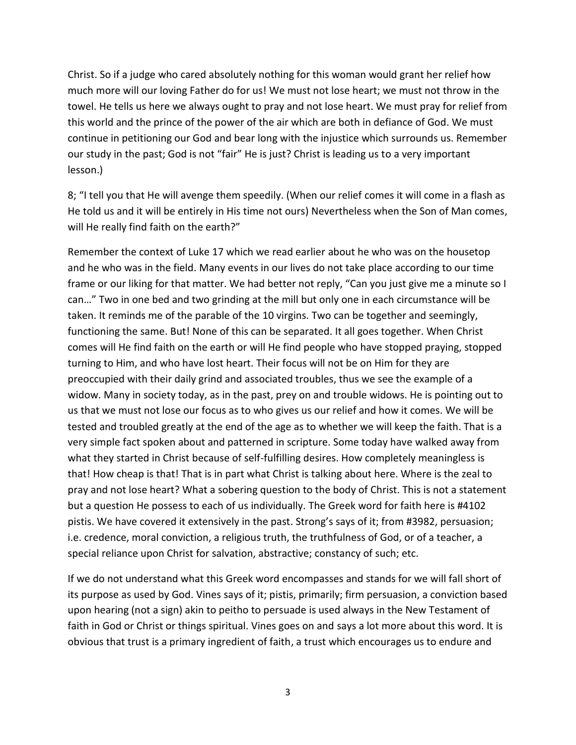Christ. So if a judge who cared absolutely nothing for this woman would grant her relief how much more will our loving Father do for us! We must not lose heart; we must not throw in the towel. He tells us here we always ought to pray and not lose heart. We must pray for relief from this world and the prince of the power of the air which are both in defiance of God. We must continue in petitioning our God and bear long with the injustice which surrounds us. Remember our study in the past; God is not "fair" He is just? Christ is leading us to a very important lesson.)

8; "I tell you that He will avenge them speedily. (When our relief comes it will come in a flash as He told us and it will be entirely in His time not ours) Nevertheless when the Son of Man comes, will He really find faith on the earth?"

Remember the context of Luke 17 which we read earlier about he who was on the housetop and he who was in the field. Many events in our lives do not take place according to our time frame or our liking for that matter. We had better not reply, "Can you just give me a minute so I can…" Two in one bed and two grinding at the mill but only one in each circumstance will be taken. It reminds me of the parable of the 10 virgins. Two can be together and seemingly, functioning the same. But! None of this can be separated. It all goes together. When Christ comes will He find faith on the earth or will He find people who have stopped praying, stopped turning to Him, and who have lost heart. Their focus will not be on Him for they are preoccupied with their daily grind and associated troubles, thus we see the example of a widow. Many in society today, as in the past, prey on and trouble widows. He is pointing out to us that we must not lose our focus as to who gives us our relief and how it comes. We will be tested and troubled greatly at the end of the age as to whether we will keep the faith. That is a very simple fact spoken about and patterned in scripture. Some today have walked away from what they started in Christ because of self-fulfilling desires. How completely meaningless is that! How cheap is that! That is in part what Christ is talking about here. Where is the zeal to pray and not lose heart? What a sobering question to the body of Christ. This is not a statement but a question He possess to each of us individually. The Greek word for faith here is #4102 pistis. We have covered it extensively in the past. Strong's says of it; from #3982, persuasion; i.e. credence, moral conviction, a religious truth, the truthfulness of God, or of a teacher, a special reliance upon Christ for salvation, abstractive; constancy of such; etc.

If we do not understand what this Greek word encompasses and stands for we will fall short of its purpose as used by God. Vines says of it; pistis, primarily; firm persuasion, a conviction based upon hearing (not a sign) akin to peitho to persuade is used always in the New Testament of faith in God or Christ or things spiritual. Vines goes on and says a lot more about this word. It is obvious that trust is a primary ingredient of faith, a trust which encourages us to endure and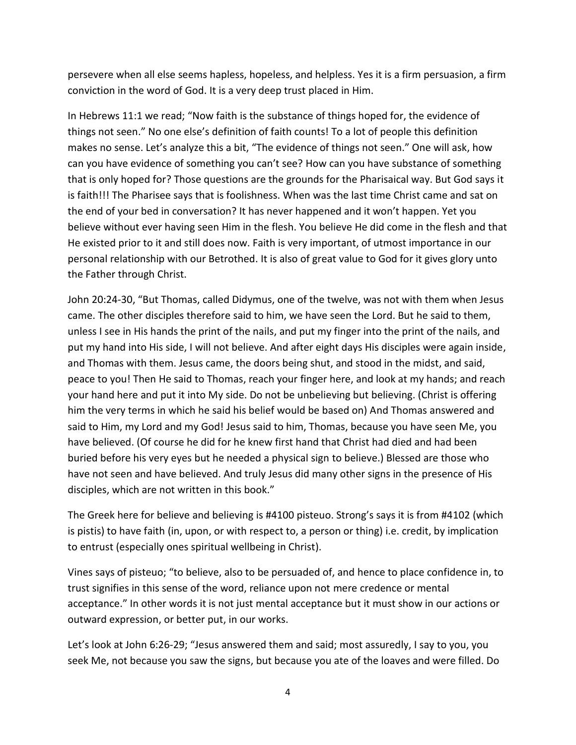persevere when all else seems hapless, hopeless, and helpless. Yes it is a firm persuasion, a firm conviction in the word of God. It is a very deep trust placed in Him.

In Hebrews 11:1 we read; "Now faith is the substance of things hoped for, the evidence of things not seen." No one else's definition of faith counts! To a lot of people this definition makes no sense. Let's analyze this a bit, "The evidence of things not seen." One will ask, how can you have evidence of something you can't see? How can you have substance of something that is only hoped for? Those questions are the grounds for the Pharisaical way. But God says it is faith!!! The Pharisee says that is foolishness. When was the last time Christ came and sat on the end of your bed in conversation? It has never happened and it won't happen. Yet you believe without ever having seen Him in the flesh. You believe He did come in the flesh and that He existed prior to it and still does now. Faith is very important, of utmost importance in our personal relationship with our Betrothed. It is also of great value to God for it gives glory unto the Father through Christ.

John 20:24-30, "But Thomas, called Didymus, one of the twelve, was not with them when Jesus came. The other disciples therefore said to him, we have seen the Lord. But he said to them, unless I see in His hands the print of the nails, and put my finger into the print of the nails, and put my hand into His side, I will not believe. And after eight days His disciples were again inside, and Thomas with them. Jesus came, the doors being shut, and stood in the midst, and said, peace to you! Then He said to Thomas, reach your finger here, and look at my hands; and reach your hand here and put it into My side. Do not be unbelieving but believing. (Christ is offering him the very terms in which he said his belief would be based on) And Thomas answered and said to Him, my Lord and my God! Jesus said to him, Thomas, because you have seen Me, you have believed. (Of course he did for he knew first hand that Christ had died and had been buried before his very eyes but he needed a physical sign to believe.) Blessed are those who have not seen and have believed. And truly Jesus did many other signs in the presence of His disciples, which are not written in this book."

The Greek here for believe and believing is #4100 pisteuo. Strong's says it is from #4102 (which is pistis) to have faith (in, upon, or with respect to, a person or thing) i.e. credit, by implication to entrust (especially ones spiritual wellbeing in Christ).

Vines says of pisteuo; "to believe, also to be persuaded of, and hence to place confidence in, to trust signifies in this sense of the word, reliance upon not mere credence or mental acceptance." In other words it is not just mental acceptance but it must show in our actions or outward expression, or better put, in our works.

Let's look at John 6:26-29; "Jesus answered them and said; most assuredly, I say to you, you seek Me, not because you saw the signs, but because you ate of the loaves and were filled. Do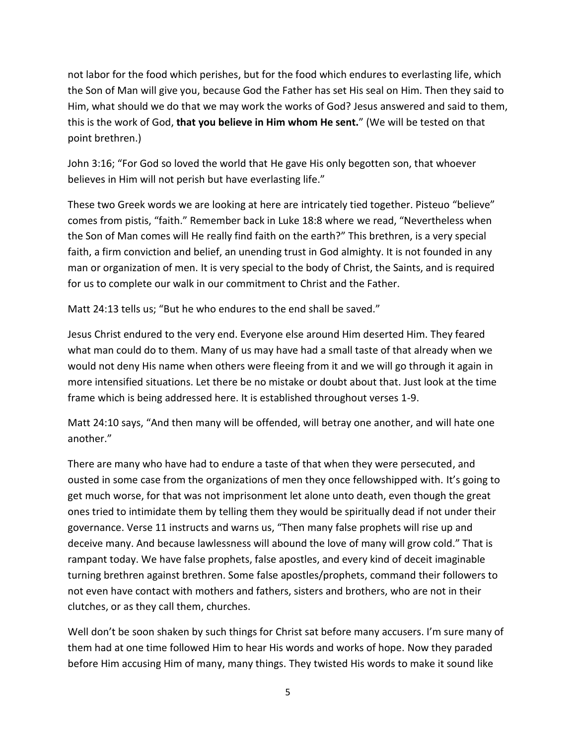not labor for the food which perishes, but for the food which endures to everlasting life, which the Son of Man will give you, because God the Father has set His seal on Him. Then they said to Him, what should we do that we may work the works of God? Jesus answered and said to them, this is the work of God, **that you believe in Him whom He sent.**" (We will be tested on that point brethren.)

John 3:16; "For God so loved the world that He gave His only begotten son, that whoever believes in Him will not perish but have everlasting life."

These two Greek words we are looking at here are intricately tied together. Pisteuo "believe" comes from pistis, "faith." Remember back in Luke 18:8 where we read, "Nevertheless when the Son of Man comes will He really find faith on the earth?" This brethren, is a very special faith, a firm conviction and belief, an unending trust in God almighty. It is not founded in any man or organization of men. It is very special to the body of Christ, the Saints, and is required for us to complete our walk in our commitment to Christ and the Father.

Matt 24:13 tells us; "But he who endures to the end shall be saved."

Jesus Christ endured to the very end. Everyone else around Him deserted Him. They feared what man could do to them. Many of us may have had a small taste of that already when we would not deny His name when others were fleeing from it and we will go through it again in more intensified situations. Let there be no mistake or doubt about that. Just look at the time frame which is being addressed here. It is established throughout verses 1-9.

Matt 24:10 says, "And then many will be offended, will betray one another, and will hate one another."

There are many who have had to endure a taste of that when they were persecuted, and ousted in some case from the organizations of men they once fellowshipped with. It's going to get much worse, for that was not imprisonment let alone unto death, even though the great ones tried to intimidate them by telling them they would be spiritually dead if not under their governance. Verse 11 instructs and warns us, "Then many false prophets will rise up and deceive many. And because lawlessness will abound the love of many will grow cold." That is rampant today. We have false prophets, false apostles, and every kind of deceit imaginable turning brethren against brethren. Some false apostles/prophets, command their followers to not even have contact with mothers and fathers, sisters and brothers, who are not in their clutches, or as they call them, churches.

Well don't be soon shaken by such things for Christ sat before many accusers. I'm sure many of them had at one time followed Him to hear His words and works of hope. Now they paraded before Him accusing Him of many, many things. They twisted His words to make it sound like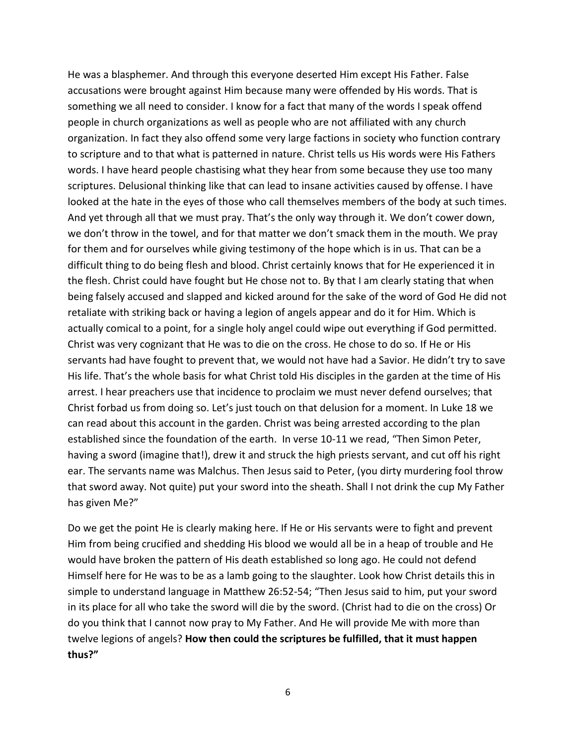He was a blasphemer. And through this everyone deserted Him except His Father. False accusations were brought against Him because many were offended by His words. That is something we all need to consider. I know for a fact that many of the words I speak offend people in church organizations as well as people who are not affiliated with any church organization. In fact they also offend some very large factions in society who function contrary to scripture and to that what is patterned in nature. Christ tells us His words were His Fathers words. I have heard people chastising what they hear from some because they use too many scriptures. Delusional thinking like that can lead to insane activities caused by offense. I have looked at the hate in the eyes of those who call themselves members of the body at such times. And yet through all that we must pray. That's the only way through it. We don't cower down, we don't throw in the towel, and for that matter we don't smack them in the mouth. We pray for them and for ourselves while giving testimony of the hope which is in us. That can be a difficult thing to do being flesh and blood. Christ certainly knows that for He experienced it in the flesh. Christ could have fought but He chose not to. By that I am clearly stating that when being falsely accused and slapped and kicked around for the sake of the word of God He did not retaliate with striking back or having a legion of angels appear and do it for Him. Which is actually comical to a point, for a single holy angel could wipe out everything if God permitted. Christ was very cognizant that He was to die on the cross. He chose to do so. If He or His servants had have fought to prevent that, we would not have had a Savior. He didn't try to save His life. That's the whole basis for what Christ told His disciples in the garden at the time of His arrest. I hear preachers use that incidence to proclaim we must never defend ourselves; that Christ forbad us from doing so. Let's just touch on that delusion for a moment. In Luke 18 we can read about this account in the garden. Christ was being arrested according to the plan established since the foundation of the earth. In verse 10-11 we read, "Then Simon Peter, having a sword (imagine that!), drew it and struck the high priests servant, and cut off his right ear. The servants name was Malchus. Then Jesus said to Peter, (you dirty murdering fool throw that sword away. Not quite) put your sword into the sheath. Shall I not drink the cup My Father has given Me?"

Do we get the point He is clearly making here. If He or His servants were to fight and prevent Him from being crucified and shedding His blood we would all be in a heap of trouble and He would have broken the pattern of His death established so long ago. He could not defend Himself here for He was to be as a lamb going to the slaughter. Look how Christ details this in simple to understand language in Matthew 26:52-54; "Then Jesus said to him, put your sword in its place for all who take the sword will die by the sword. (Christ had to die on the cross) Or do you think that I cannot now pray to My Father. And He will provide Me with more than twelve legions of angels? **How then could the scriptures be fulfilled, that it must happen thus?"**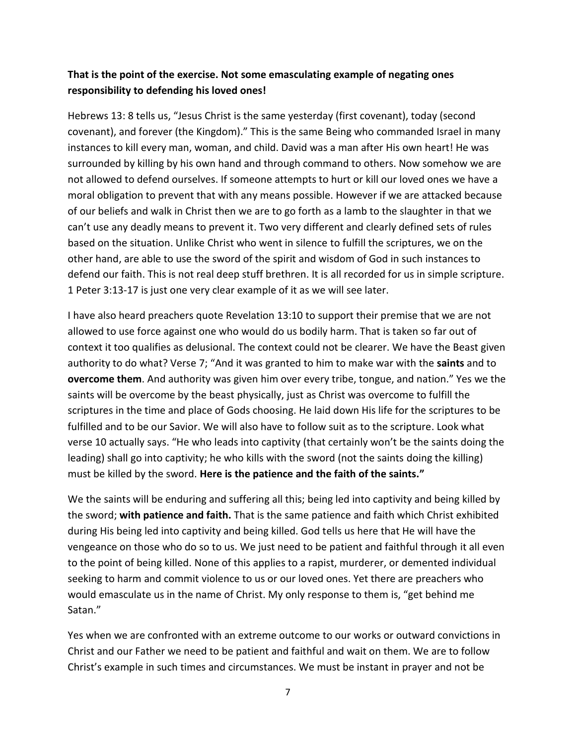### **That is the point of the exercise. Not some emasculating example of negating ones responsibility to defending his loved ones!**

Hebrews 13: 8 tells us, "Jesus Christ is the same yesterday (first covenant), today (second covenant), and forever (the Kingdom)." This is the same Being who commanded Israel in many instances to kill every man, woman, and child. David was a man after His own heart! He was surrounded by killing by his own hand and through command to others. Now somehow we are not allowed to defend ourselves. If someone attempts to hurt or kill our loved ones we have a moral obligation to prevent that with any means possible. However if we are attacked because of our beliefs and walk in Christ then we are to go forth as a lamb to the slaughter in that we can't use any deadly means to prevent it. Two very different and clearly defined sets of rules based on the situation. Unlike Christ who went in silence to fulfill the scriptures, we on the other hand, are able to use the sword of the spirit and wisdom of God in such instances to defend our faith. This is not real deep stuff brethren. It is all recorded for us in simple scripture. 1 Peter 3:13-17 is just one very clear example of it as we will see later.

I have also heard preachers quote Revelation 13:10 to support their premise that we are not allowed to use force against one who would do us bodily harm. That is taken so far out of context it too qualifies as delusional. The context could not be clearer. We have the Beast given authority to do what? Verse 7; "And it was granted to him to make war with the **saints** and to **overcome them**. And authority was given him over every tribe, tongue, and nation." Yes we the saints will be overcome by the beast physically, just as Christ was overcome to fulfill the scriptures in the time and place of Gods choosing. He laid down His life for the scriptures to be fulfilled and to be our Savior. We will also have to follow suit as to the scripture. Look what verse 10 actually says. "He who leads into captivity (that certainly won't be the saints doing the leading) shall go into captivity; he who kills with the sword (not the saints doing the killing) must be killed by the sword. **Here is the patience and the faith of the saints."**

We the saints will be enduring and suffering all this; being led into captivity and being killed by the sword; **with patience and faith.** That is the same patience and faith which Christ exhibited during His being led into captivity and being killed. God tells us here that He will have the vengeance on those who do so to us. We just need to be patient and faithful through it all even to the point of being killed. None of this applies to a rapist, murderer, or demented individual seeking to harm and commit violence to us or our loved ones. Yet there are preachers who would emasculate us in the name of Christ. My only response to them is, "get behind me Satan."

Yes when we are confronted with an extreme outcome to our works or outward convictions in Christ and our Father we need to be patient and faithful and wait on them. We are to follow Christ's example in such times and circumstances. We must be instant in prayer and not be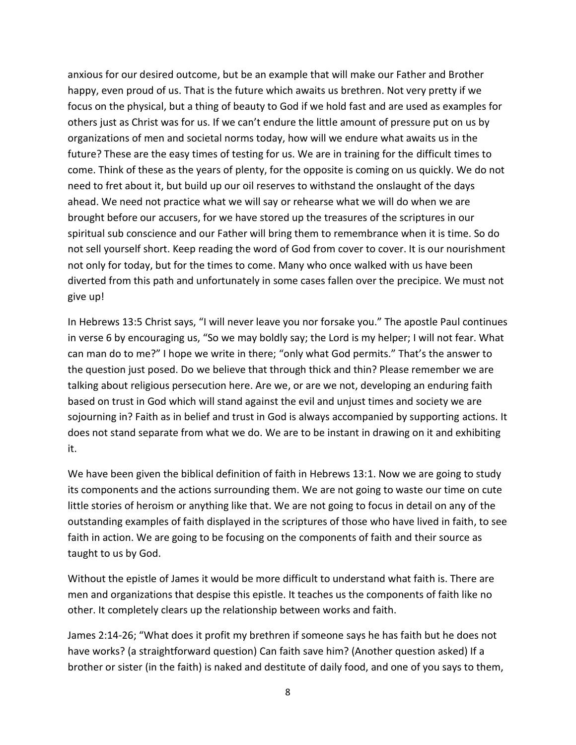anxious for our desired outcome, but be an example that will make our Father and Brother happy, even proud of us. That is the future which awaits us brethren. Not very pretty if we focus on the physical, but a thing of beauty to God if we hold fast and are used as examples for others just as Christ was for us. If we can't endure the little amount of pressure put on us by organizations of men and societal norms today, how will we endure what awaits us in the future? These are the easy times of testing for us. We are in training for the difficult times to come. Think of these as the years of plenty, for the opposite is coming on us quickly. We do not need to fret about it, but build up our oil reserves to withstand the onslaught of the days ahead. We need not practice what we will say or rehearse what we will do when we are brought before our accusers, for we have stored up the treasures of the scriptures in our spiritual sub conscience and our Father will bring them to remembrance when it is time. So do not sell yourself short. Keep reading the word of God from cover to cover. It is our nourishment not only for today, but for the times to come. Many who once walked with us have been diverted from this path and unfortunately in some cases fallen over the precipice. We must not give up!

In Hebrews 13:5 Christ says, "I will never leave you nor forsake you." The apostle Paul continues in verse 6 by encouraging us, "So we may boldly say; the Lord is my helper; I will not fear. What can man do to me?" I hope we write in there; "only what God permits." That's the answer to the question just posed. Do we believe that through thick and thin? Please remember we are talking about religious persecution here. Are we, or are we not, developing an enduring faith based on trust in God which will stand against the evil and unjust times and society we are sojourning in? Faith as in belief and trust in God is always accompanied by supporting actions. It does not stand separate from what we do. We are to be instant in drawing on it and exhibiting it.

We have been given the biblical definition of faith in Hebrews 13:1. Now we are going to study its components and the actions surrounding them. We are not going to waste our time on cute little stories of heroism or anything like that. We are not going to focus in detail on any of the outstanding examples of faith displayed in the scriptures of those who have lived in faith, to see faith in action. We are going to be focusing on the components of faith and their source as taught to us by God.

Without the epistle of James it would be more difficult to understand what faith is. There are men and organizations that despise this epistle. It teaches us the components of faith like no other. It completely clears up the relationship between works and faith.

James 2:14-26; "What does it profit my brethren if someone says he has faith but he does not have works? (a straightforward question) Can faith save him? (Another question asked) If a brother or sister (in the faith) is naked and destitute of daily food, and one of you says to them,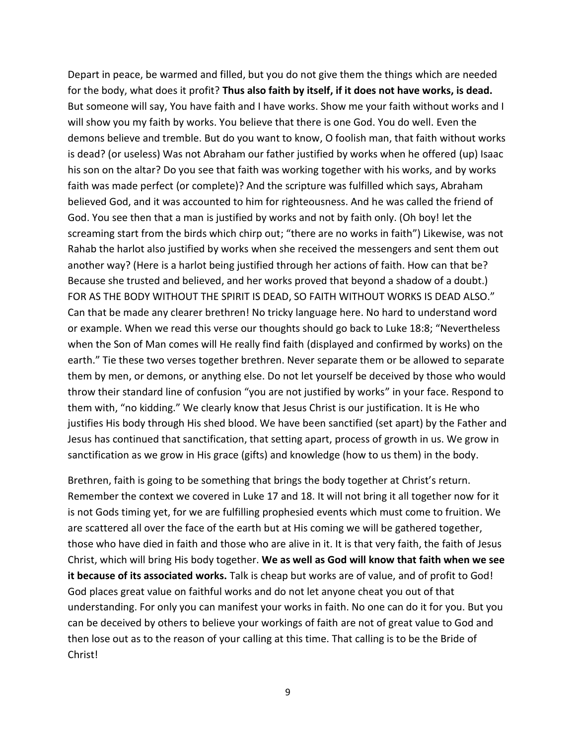Depart in peace, be warmed and filled, but you do not give them the things which are needed for the body, what does it profit? **Thus also faith by itself, if it does not have works, is dead.** But someone will say, You have faith and I have works. Show me your faith without works and I will show you my faith by works. You believe that there is one God. You do well. Even the demons believe and tremble. But do you want to know, O foolish man, that faith without works is dead? (or useless) Was not Abraham our father justified by works when he offered (up) Isaac his son on the altar? Do you see that faith was working together with his works, and by works faith was made perfect (or complete)? And the scripture was fulfilled which says, Abraham believed God, and it was accounted to him for righteousness. And he was called the friend of God. You see then that a man is justified by works and not by faith only. (Oh boy! let the screaming start from the birds which chirp out; "there are no works in faith") Likewise, was not Rahab the harlot also justified by works when she received the messengers and sent them out another way? (Here is a harlot being justified through her actions of faith. How can that be? Because she trusted and believed, and her works proved that beyond a shadow of a doubt.) FOR AS THE BODY WITHOUT THE SPIRIT IS DEAD, SO FAITH WITHOUT WORKS IS DEAD ALSO." Can that be made any clearer brethren! No tricky language here. No hard to understand word or example. When we read this verse our thoughts should go back to Luke 18:8; "Nevertheless when the Son of Man comes will He really find faith (displayed and confirmed by works) on the earth." Tie these two verses together brethren. Never separate them or be allowed to separate them by men, or demons, or anything else. Do not let yourself be deceived by those who would throw their standard line of confusion "you are not justified by works" in your face. Respond to them with, "no kidding." We clearly know that Jesus Christ is our justification. It is He who justifies His body through His shed blood. We have been sanctified (set apart) by the Father and Jesus has continued that sanctification, that setting apart, process of growth in us. We grow in sanctification as we grow in His grace (gifts) and knowledge (how to us them) in the body.

Brethren, faith is going to be something that brings the body together at Christ's return. Remember the context we covered in Luke 17 and 18. It will not bring it all together now for it is not Gods timing yet, for we are fulfilling prophesied events which must come to fruition. We are scattered all over the face of the earth but at His coming we will be gathered together, those who have died in faith and those who are alive in it. It is that very faith, the faith of Jesus Christ, which will bring His body together. **We as well as God will know that faith when we see it because of its associated works.** Talk is cheap but works are of value, and of profit to God! God places great value on faithful works and do not let anyone cheat you out of that understanding. For only you can manifest your works in faith. No one can do it for you. But you can be deceived by others to believe your workings of faith are not of great value to God and then lose out as to the reason of your calling at this time. That calling is to be the Bride of Christ!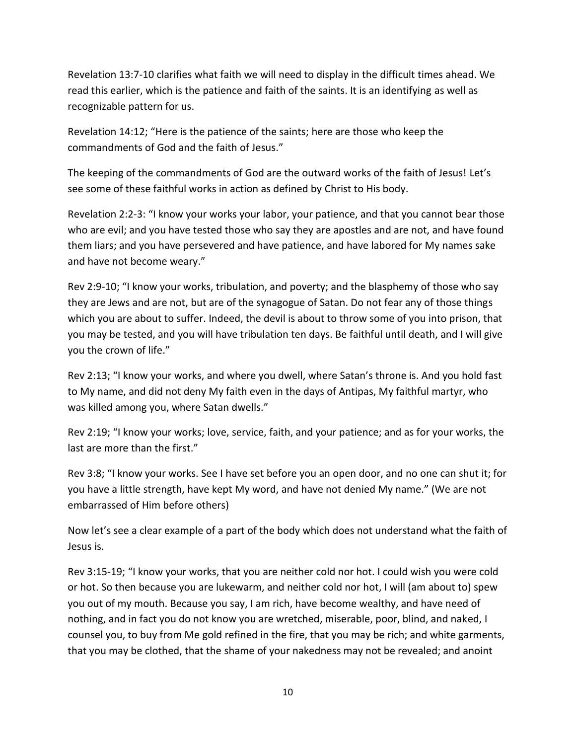Revelation 13:7-10 clarifies what faith we will need to display in the difficult times ahead. We read this earlier, which is the patience and faith of the saints. It is an identifying as well as recognizable pattern for us.

Revelation 14:12; "Here is the patience of the saints; here are those who keep the commandments of God and the faith of Jesus."

The keeping of the commandments of God are the outward works of the faith of Jesus! Let's see some of these faithful works in action as defined by Christ to His body.

Revelation 2:2-3: "I know your works your labor, your patience, and that you cannot bear those who are evil; and you have tested those who say they are apostles and are not, and have found them liars; and you have persevered and have patience, and have labored for My names sake and have not become weary."

Rev 2:9-10; "I know your works, tribulation, and poverty; and the blasphemy of those who say they are Jews and are not, but are of the synagogue of Satan. Do not fear any of those things which you are about to suffer. Indeed, the devil is about to throw some of you into prison, that you may be tested, and you will have tribulation ten days. Be faithful until death, and I will give you the crown of life."

Rev 2:13; "I know your works, and where you dwell, where Satan's throne is. And you hold fast to My name, and did not deny My faith even in the days of Antipas, My faithful martyr, who was killed among you, where Satan dwells."

Rev 2:19; "I know your works; love, service, faith, and your patience; and as for your works, the last are more than the first."

Rev 3:8; "I know your works. See I have set before you an open door, and no one can shut it; for you have a little strength, have kept My word, and have not denied My name." (We are not embarrassed of Him before others)

Now let's see a clear example of a part of the body which does not understand what the faith of Jesus is.

Rev 3:15-19; "I know your works, that you are neither cold nor hot. I could wish you were cold or hot. So then because you are lukewarm, and neither cold nor hot, I will (am about to) spew you out of my mouth. Because you say, I am rich, have become wealthy, and have need of nothing, and in fact you do not know you are wretched, miserable, poor, blind, and naked, I counsel you, to buy from Me gold refined in the fire, that you may be rich; and white garments, that you may be clothed, that the shame of your nakedness may not be revealed; and anoint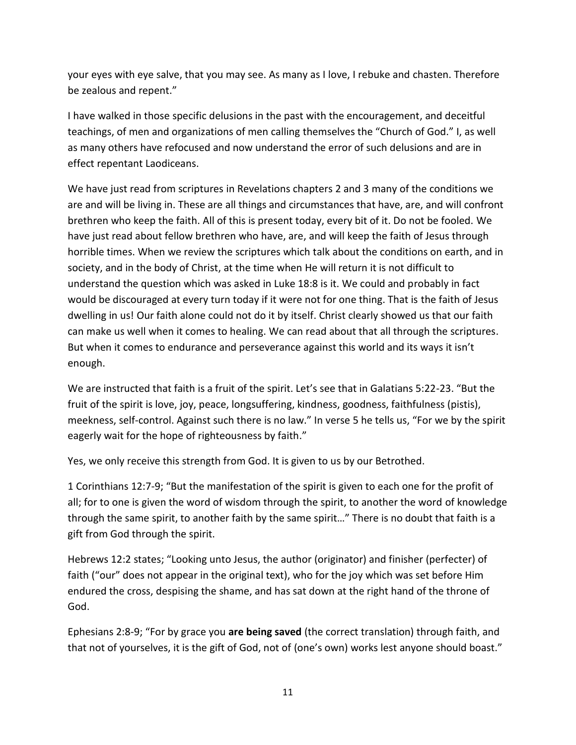your eyes with eye salve, that you may see. As many as I love, I rebuke and chasten. Therefore be zealous and repent."

I have walked in those specific delusions in the past with the encouragement, and deceitful teachings, of men and organizations of men calling themselves the "Church of God." I, as well as many others have refocused and now understand the error of such delusions and are in effect repentant Laodiceans.

We have just read from scriptures in Revelations chapters 2 and 3 many of the conditions we are and will be living in. These are all things and circumstances that have, are, and will confront brethren who keep the faith. All of this is present today, every bit of it. Do not be fooled. We have just read about fellow brethren who have, are, and will keep the faith of Jesus through horrible times. When we review the scriptures which talk about the conditions on earth, and in society, and in the body of Christ, at the time when He will return it is not difficult to understand the question which was asked in Luke 18:8 is it. We could and probably in fact would be discouraged at every turn today if it were not for one thing. That is the faith of Jesus dwelling in us! Our faith alone could not do it by itself. Christ clearly showed us that our faith can make us well when it comes to healing. We can read about that all through the scriptures. But when it comes to endurance and perseverance against this world and its ways it isn't enough.

We are instructed that faith is a fruit of the spirit. Let's see that in Galatians 5:22-23. "But the fruit of the spirit is love, joy, peace, longsuffering, kindness, goodness, faithfulness (pistis), meekness, self-control. Against such there is no law." In verse 5 he tells us, "For we by the spirit eagerly wait for the hope of righteousness by faith."

Yes, we only receive this strength from God. It is given to us by our Betrothed.

1 Corinthians 12:7-9; "But the manifestation of the spirit is given to each one for the profit of all; for to one is given the word of wisdom through the spirit, to another the word of knowledge through the same spirit, to another faith by the same spirit…" There is no doubt that faith is a gift from God through the spirit.

Hebrews 12:2 states; "Looking unto Jesus, the author (originator) and finisher (perfecter) of faith ("our" does not appear in the original text), who for the joy which was set before Him endured the cross, despising the shame, and has sat down at the right hand of the throne of God.

Ephesians 2:8-9; "For by grace you **are being saved** (the correct translation) through faith, and that not of yourselves, it is the gift of God, not of (one's own) works lest anyone should boast."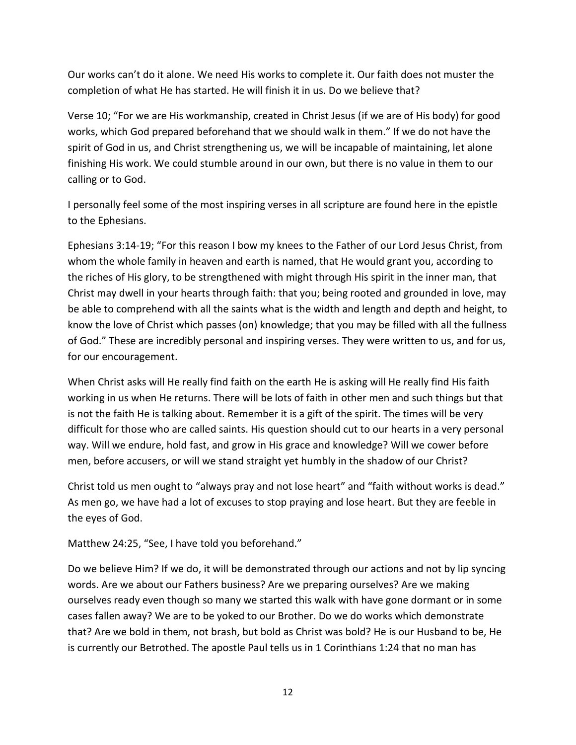Our works can't do it alone. We need His works to complete it. Our faith does not muster the completion of what He has started. He will finish it in us. Do we believe that?

Verse 10; "For we are His workmanship, created in Christ Jesus (if we are of His body) for good works, which God prepared beforehand that we should walk in them." If we do not have the spirit of God in us, and Christ strengthening us, we will be incapable of maintaining, let alone finishing His work. We could stumble around in our own, but there is no value in them to our calling or to God.

I personally feel some of the most inspiring verses in all scripture are found here in the epistle to the Ephesians.

Ephesians 3:14-19; "For this reason I bow my knees to the Father of our Lord Jesus Christ, from whom the whole family in heaven and earth is named, that He would grant you, according to the riches of His glory, to be strengthened with might through His spirit in the inner man, that Christ may dwell in your hearts through faith: that you; being rooted and grounded in love, may be able to comprehend with all the saints what is the width and length and depth and height, to know the love of Christ which passes (on) knowledge; that you may be filled with all the fullness of God." These are incredibly personal and inspiring verses. They were written to us, and for us, for our encouragement.

When Christ asks will He really find faith on the earth He is asking will He really find His faith working in us when He returns. There will be lots of faith in other men and such things but that is not the faith He is talking about. Remember it is a gift of the spirit. The times will be very difficult for those who are called saints. His question should cut to our hearts in a very personal way. Will we endure, hold fast, and grow in His grace and knowledge? Will we cower before men, before accusers, or will we stand straight yet humbly in the shadow of our Christ?

Christ told us men ought to "always pray and not lose heart" and "faith without works is dead." As men go, we have had a lot of excuses to stop praying and lose heart. But they are feeble in the eyes of God.

Matthew 24:25, "See, I have told you beforehand."

Do we believe Him? If we do, it will be demonstrated through our actions and not by lip syncing words. Are we about our Fathers business? Are we preparing ourselves? Are we making ourselves ready even though so many we started this walk with have gone dormant or in some cases fallen away? We are to be yoked to our Brother. Do we do works which demonstrate that? Are we bold in them, not brash, but bold as Christ was bold? He is our Husband to be, He is currently our Betrothed. The apostle Paul tells us in 1 Corinthians 1:24 that no man has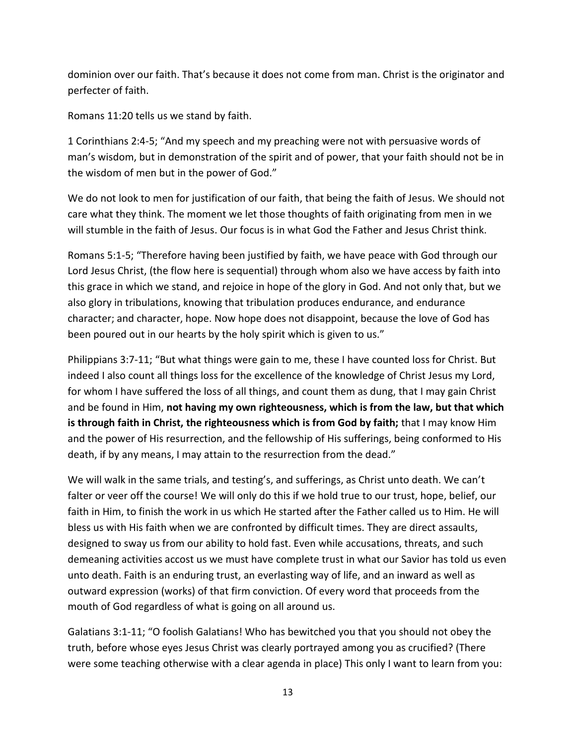dominion over our faith. That's because it does not come from man. Christ is the originator and perfecter of faith.

Romans 11:20 tells us we stand by faith.

1 Corinthians 2:4-5; "And my speech and my preaching were not with persuasive words of man's wisdom, but in demonstration of the spirit and of power, that your faith should not be in the wisdom of men but in the power of God."

We do not look to men for justification of our faith, that being the faith of Jesus. We should not care what they think. The moment we let those thoughts of faith originating from men in we will stumble in the faith of Jesus. Our focus is in what God the Father and Jesus Christ think.

Romans 5:1-5; "Therefore having been justified by faith, we have peace with God through our Lord Jesus Christ, (the flow here is sequential) through whom also we have access by faith into this grace in which we stand, and rejoice in hope of the glory in God. And not only that, but we also glory in tribulations, knowing that tribulation produces endurance, and endurance character; and character, hope. Now hope does not disappoint, because the love of God has been poured out in our hearts by the holy spirit which is given to us."

Philippians 3:7-11; "But what things were gain to me, these I have counted loss for Christ. But indeed I also count all things loss for the excellence of the knowledge of Christ Jesus my Lord, for whom I have suffered the loss of all things, and count them as dung, that I may gain Christ and be found in Him, **not having my own righteousness, which is from the law, but that which is through faith in Christ, the righteousness which is from God by faith;** that I may know Him and the power of His resurrection, and the fellowship of His sufferings, being conformed to His death, if by any means, I may attain to the resurrection from the dead."

We will walk in the same trials, and testing's, and sufferings, as Christ unto death. We can't falter or veer off the course! We will only do this if we hold true to our trust, hope, belief, our faith in Him, to finish the work in us which He started after the Father called us to Him. He will bless us with His faith when we are confronted by difficult times. They are direct assaults, designed to sway us from our ability to hold fast. Even while accusations, threats, and such demeaning activities accost us we must have complete trust in what our Savior has told us even unto death. Faith is an enduring trust, an everlasting way of life, and an inward as well as outward expression (works) of that firm conviction. Of every word that proceeds from the mouth of God regardless of what is going on all around us.

Galatians 3:1-11; "O foolish Galatians! Who has bewitched you that you should not obey the truth, before whose eyes Jesus Christ was clearly portrayed among you as crucified? (There were some teaching otherwise with a clear agenda in place) This only I want to learn from you: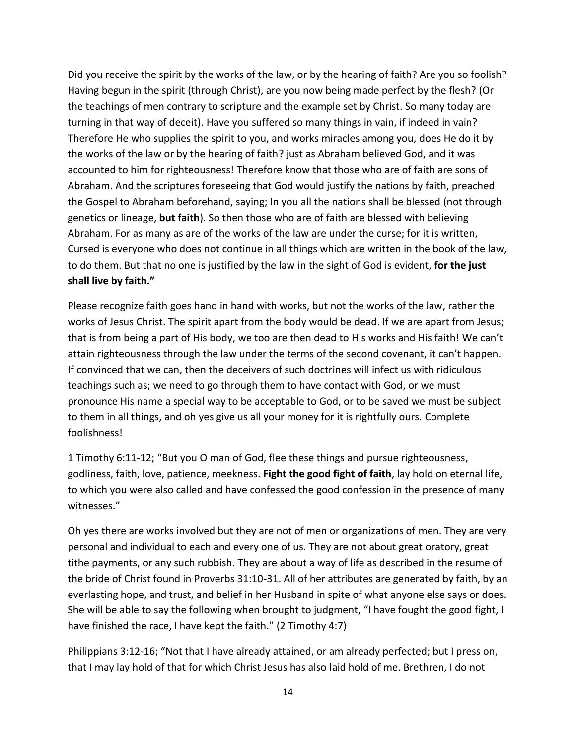Did you receive the spirit by the works of the law, or by the hearing of faith? Are you so foolish? Having begun in the spirit (through Christ), are you now being made perfect by the flesh? (Or the teachings of men contrary to scripture and the example set by Christ. So many today are turning in that way of deceit). Have you suffered so many things in vain, if indeed in vain? Therefore He who supplies the spirit to you, and works miracles among you, does He do it by the works of the law or by the hearing of faith? just as Abraham believed God, and it was accounted to him for righteousness! Therefore know that those who are of faith are sons of Abraham. And the scriptures foreseeing that God would justify the nations by faith, preached the Gospel to Abraham beforehand, saying; In you all the nations shall be blessed (not through genetics or lineage, **but faith**). So then those who are of faith are blessed with believing Abraham. For as many as are of the works of the law are under the curse; for it is written, Cursed is everyone who does not continue in all things which are written in the book of the law, to do them. But that no one is justified by the law in the sight of God is evident, **for the just shall live by faith."**

Please recognize faith goes hand in hand with works, but not the works of the law, rather the works of Jesus Christ. The spirit apart from the body would be dead. If we are apart from Jesus; that is from being a part of His body, we too are then dead to His works and His faith! We can't attain righteousness through the law under the terms of the second covenant, it can't happen. If convinced that we can, then the deceivers of such doctrines will infect us with ridiculous teachings such as; we need to go through them to have contact with God, or we must pronounce His name a special way to be acceptable to God, or to be saved we must be subject to them in all things, and oh yes give us all your money for it is rightfully ours. Complete foolishness!

1 Timothy 6:11-12; "But you O man of God, flee these things and pursue righteousness, godliness, faith, love, patience, meekness. **Fight the good fight of faith**, lay hold on eternal life, to which you were also called and have confessed the good confession in the presence of many witnesses."

Oh yes there are works involved but they are not of men or organizations of men. They are very personal and individual to each and every one of us. They are not about great oratory, great tithe payments, or any such rubbish. They are about a way of life as described in the resume of the bride of Christ found in Proverbs 31:10-31. All of her attributes are generated by faith, by an everlasting hope, and trust, and belief in her Husband in spite of what anyone else says or does. She will be able to say the following when brought to judgment, "I have fought the good fight, I have finished the race, I have kept the faith." (2 Timothy 4:7)

Philippians 3:12-16; "Not that I have already attained, or am already perfected; but I press on, that I may lay hold of that for which Christ Jesus has also laid hold of me. Brethren, I do not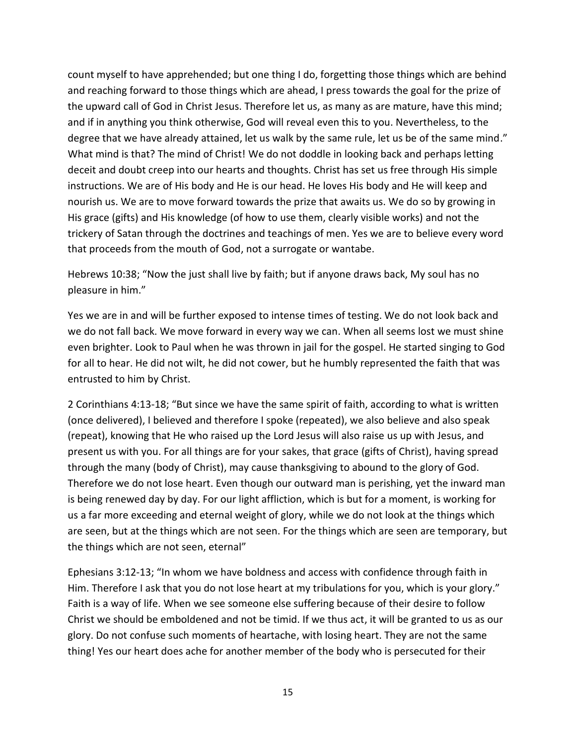count myself to have apprehended; but one thing I do, forgetting those things which are behind and reaching forward to those things which are ahead, I press towards the goal for the prize of the upward call of God in Christ Jesus. Therefore let us, as many as are mature, have this mind; and if in anything you think otherwise, God will reveal even this to you. Nevertheless, to the degree that we have already attained, let us walk by the same rule, let us be of the same mind." What mind is that? The mind of Christ! We do not doddle in looking back and perhaps letting deceit and doubt creep into our hearts and thoughts. Christ has set us free through His simple instructions. We are of His body and He is our head. He loves His body and He will keep and nourish us. We are to move forward towards the prize that awaits us. We do so by growing in His grace (gifts) and His knowledge (of how to use them, clearly visible works) and not the trickery of Satan through the doctrines and teachings of men. Yes we are to believe every word that proceeds from the mouth of God, not a surrogate or wantabe.

Hebrews 10:38; "Now the just shall live by faith; but if anyone draws back, My soul has no pleasure in him."

Yes we are in and will be further exposed to intense times of testing. We do not look back and we do not fall back. We move forward in every way we can. When all seems lost we must shine even brighter. Look to Paul when he was thrown in jail for the gospel. He started singing to God for all to hear. He did not wilt, he did not cower, but he humbly represented the faith that was entrusted to him by Christ.

2 Corinthians 4:13-18; "But since we have the same spirit of faith, according to what is written (once delivered), I believed and therefore I spoke (repeated), we also believe and also speak (repeat), knowing that He who raised up the Lord Jesus will also raise us up with Jesus, and present us with you. For all things are for your sakes, that grace (gifts of Christ), having spread through the many (body of Christ), may cause thanksgiving to abound to the glory of God. Therefore we do not lose heart. Even though our outward man is perishing, yet the inward man is being renewed day by day. For our light affliction, which is but for a moment, is working for us a far more exceeding and eternal weight of glory, while we do not look at the things which are seen, but at the things which are not seen. For the things which are seen are temporary, but the things which are not seen, eternal"

Ephesians 3:12-13; "In whom we have boldness and access with confidence through faith in Him. Therefore I ask that you do not lose heart at my tribulations for you, which is your glory." Faith is a way of life. When we see someone else suffering because of their desire to follow Christ we should be emboldened and not be timid. If we thus act, it will be granted to us as our glory. Do not confuse such moments of heartache, with losing heart. They are not the same thing! Yes our heart does ache for another member of the body who is persecuted for their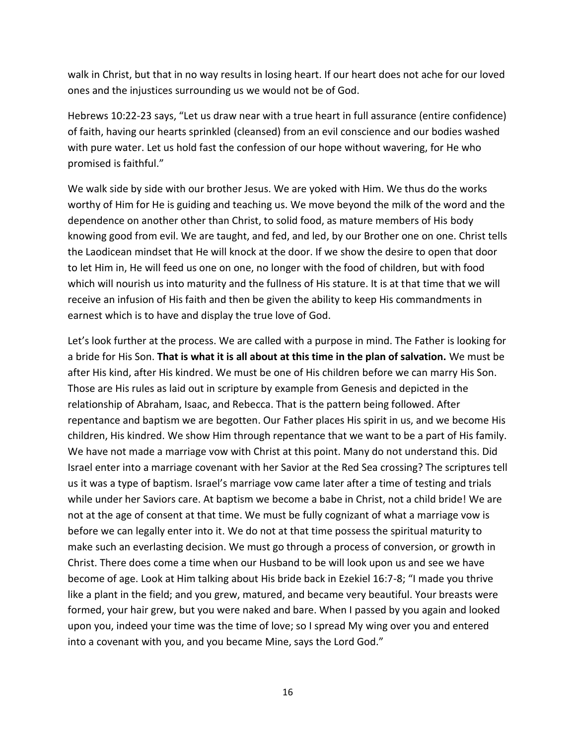walk in Christ, but that in no way results in losing heart. If our heart does not ache for our loved ones and the injustices surrounding us we would not be of God.

Hebrews 10:22-23 says, "Let us draw near with a true heart in full assurance (entire confidence) of faith, having our hearts sprinkled (cleansed) from an evil conscience and our bodies washed with pure water. Let us hold fast the confession of our hope without wavering, for He who promised is faithful."

We walk side by side with our brother Jesus. We are yoked with Him. We thus do the works worthy of Him for He is guiding and teaching us. We move beyond the milk of the word and the dependence on another other than Christ, to solid food, as mature members of His body knowing good from evil. We are taught, and fed, and led, by our Brother one on one. Christ tells the Laodicean mindset that He will knock at the door. If we show the desire to open that door to let Him in, He will feed us one on one, no longer with the food of children, but with food which will nourish us into maturity and the fullness of His stature. It is at that time that we will receive an infusion of His faith and then be given the ability to keep His commandments in earnest which is to have and display the true love of God.

Let's look further at the process. We are called with a purpose in mind. The Father is looking for a bride for His Son. **That is what it is all about at this time in the plan of salvation.** We must be after His kind, after His kindred. We must be one of His children before we can marry His Son. Those are His rules as laid out in scripture by example from Genesis and depicted in the relationship of Abraham, Isaac, and Rebecca. That is the pattern being followed. After repentance and baptism we are begotten. Our Father places His spirit in us, and we become His children, His kindred. We show Him through repentance that we want to be a part of His family. We have not made a marriage vow with Christ at this point. Many do not understand this. Did Israel enter into a marriage covenant with her Savior at the Red Sea crossing? The scriptures tell us it was a type of baptism. Israel's marriage vow came later after a time of testing and trials while under her Saviors care. At baptism we become a babe in Christ, not a child bride! We are not at the age of consent at that time. We must be fully cognizant of what a marriage vow is before we can legally enter into it. We do not at that time possess the spiritual maturity to make such an everlasting decision. We must go through a process of conversion, or growth in Christ. There does come a time when our Husband to be will look upon us and see we have become of age. Look at Him talking about His bride back in Ezekiel 16:7-8; "I made you thrive like a plant in the field; and you grew, matured, and became very beautiful. Your breasts were formed, your hair grew, but you were naked and bare. When I passed by you again and looked upon you, indeed your time was the time of love; so I spread My wing over you and entered into a covenant with you, and you became Mine, says the Lord God."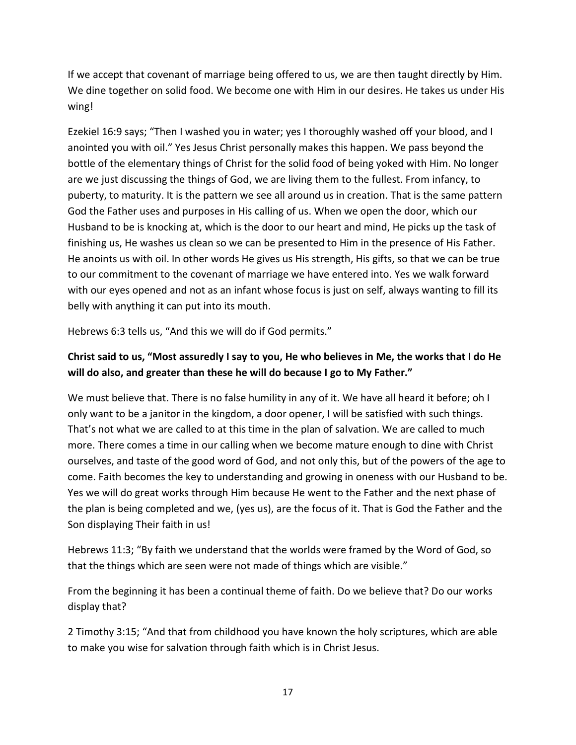If we accept that covenant of marriage being offered to us, we are then taught directly by Him. We dine together on solid food. We become one with Him in our desires. He takes us under His wing!

Ezekiel 16:9 says; "Then I washed you in water; yes I thoroughly washed off your blood, and I anointed you with oil." Yes Jesus Christ personally makes this happen. We pass beyond the bottle of the elementary things of Christ for the solid food of being yoked with Him. No longer are we just discussing the things of God, we are living them to the fullest. From infancy, to puberty, to maturity. It is the pattern we see all around us in creation. That is the same pattern God the Father uses and purposes in His calling of us. When we open the door, which our Husband to be is knocking at, which is the door to our heart and mind, He picks up the task of finishing us, He washes us clean so we can be presented to Him in the presence of His Father. He anoints us with oil. In other words He gives us His strength, His gifts, so that we can be true to our commitment to the covenant of marriage we have entered into. Yes we walk forward with our eyes opened and not as an infant whose focus is just on self, always wanting to fill its belly with anything it can put into its mouth.

Hebrews 6:3 tells us, "And this we will do if God permits."

#### **Christ said to us, "Most assuredly I say to you, He who believes in Me, the works that I do He will do also, and greater than these he will do because I go to My Father."**

We must believe that. There is no false humility in any of it. We have all heard it before; oh I only want to be a janitor in the kingdom, a door opener, I will be satisfied with such things. That's not what we are called to at this time in the plan of salvation. We are called to much more. There comes a time in our calling when we become mature enough to dine with Christ ourselves, and taste of the good word of God, and not only this, but of the powers of the age to come. Faith becomes the key to understanding and growing in oneness with our Husband to be. Yes we will do great works through Him because He went to the Father and the next phase of the plan is being completed and we, (yes us), are the focus of it. That is God the Father and the Son displaying Their faith in us!

Hebrews 11:3; "By faith we understand that the worlds were framed by the Word of God, so that the things which are seen were not made of things which are visible."

From the beginning it has been a continual theme of faith. Do we believe that? Do our works display that?

2 Timothy 3:15; "And that from childhood you have known the holy scriptures, which are able to make you wise for salvation through faith which is in Christ Jesus.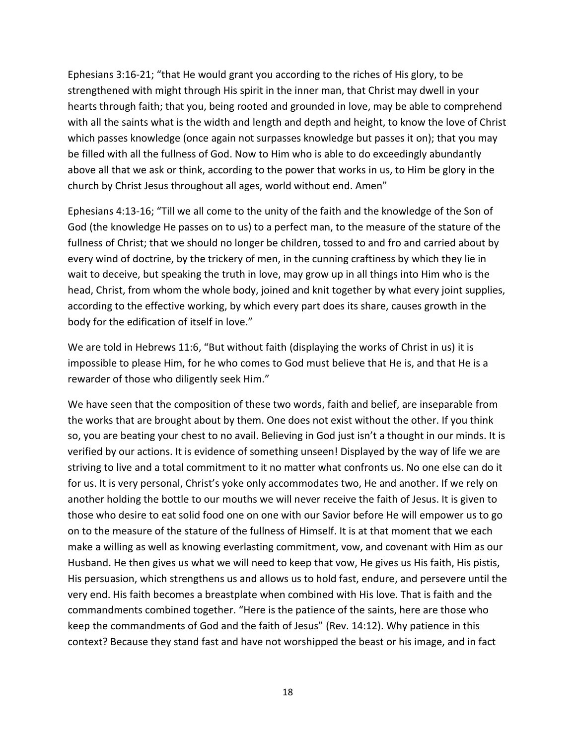Ephesians 3:16-21; "that He would grant you according to the riches of His glory, to be strengthened with might through His spirit in the inner man, that Christ may dwell in your hearts through faith; that you, being rooted and grounded in love, may be able to comprehend with all the saints what is the width and length and depth and height, to know the love of Christ which passes knowledge (once again not surpasses knowledge but passes it on); that you may be filled with all the fullness of God. Now to Him who is able to do exceedingly abundantly above all that we ask or think, according to the power that works in us, to Him be glory in the church by Christ Jesus throughout all ages, world without end. Amen"

Ephesians 4:13-16; "Till we all come to the unity of the faith and the knowledge of the Son of God (the knowledge He passes on to us) to a perfect man, to the measure of the stature of the fullness of Christ; that we should no longer be children, tossed to and fro and carried about by every wind of doctrine, by the trickery of men, in the cunning craftiness by which they lie in wait to deceive, but speaking the truth in love, may grow up in all things into Him who is the head, Christ, from whom the whole body, joined and knit together by what every joint supplies, according to the effective working, by which every part does its share, causes growth in the body for the edification of itself in love."

We are told in Hebrews 11:6, "But without faith (displaying the works of Christ in us) it is impossible to please Him, for he who comes to God must believe that He is, and that He is a rewarder of those who diligently seek Him."

We have seen that the composition of these two words, faith and belief, are inseparable from the works that are brought about by them. One does not exist without the other. If you think so, you are beating your chest to no avail. Believing in God just isn't a thought in our minds. It is verified by our actions. It is evidence of something unseen! Displayed by the way of life we are striving to live and a total commitment to it no matter what confronts us. No one else can do it for us. It is very personal, Christ's yoke only accommodates two, He and another. If we rely on another holding the bottle to our mouths we will never receive the faith of Jesus. It is given to those who desire to eat solid food one on one with our Savior before He will empower us to go on to the measure of the stature of the fullness of Himself. It is at that moment that we each make a willing as well as knowing everlasting commitment, vow, and covenant with Him as our Husband. He then gives us what we will need to keep that vow, He gives us His faith, His pistis, His persuasion, which strengthens us and allows us to hold fast, endure, and persevere until the very end. His faith becomes a breastplate when combined with His love. That is faith and the commandments combined together. "Here is the patience of the saints, here are those who keep the commandments of God and the faith of Jesus" (Rev. 14:12). Why patience in this context? Because they stand fast and have not worshipped the beast or his image, and in fact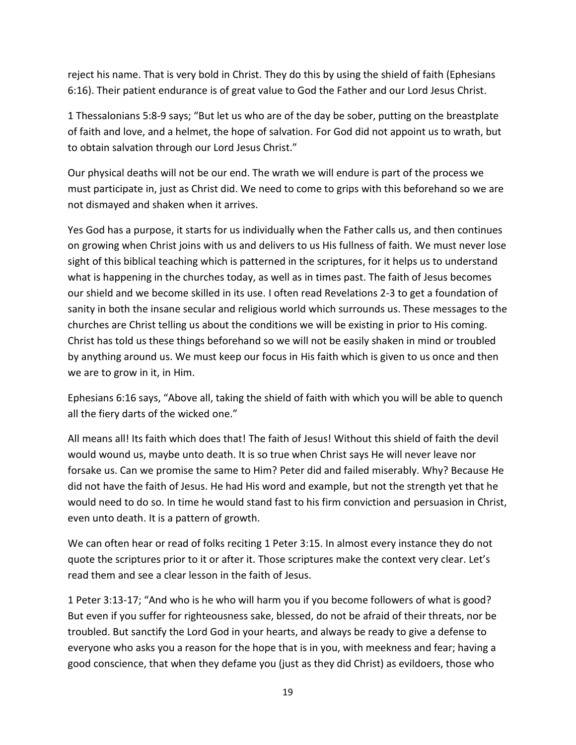reject his name. That is very bold in Christ. They do this by using the shield of faith (Ephesians 6:16). Their patient endurance is of great value to God the Father and our Lord Jesus Christ.

1 Thessalonians 5:8-9 says; "But let us who are of the day be sober, putting on the breastplate of faith and love, and a helmet, the hope of salvation. For God did not appoint us to wrath, but to obtain salvation through our Lord Jesus Christ."

Our physical deaths will not be our end. The wrath we will endure is part of the process we must participate in, just as Christ did. We need to come to grips with this beforehand so we are not dismayed and shaken when it arrives.

Yes God has a purpose, it starts for us individually when the Father calls us, and then continues on growing when Christ joins with us and delivers to us His fullness of faith. We must never lose sight of this biblical teaching which is patterned in the scriptures, for it helps us to understand what is happening in the churches today, as well as in times past. The faith of Jesus becomes our shield and we become skilled in its use. I often read Revelations 2-3 to get a foundation of sanity in both the insane secular and religious world which surrounds us. These messages to the churches are Christ telling us about the conditions we will be existing in prior to His coming. Christ has told us these things beforehand so we will not be easily shaken in mind or troubled by anything around us. We must keep our focus in His faith which is given to us once and then we are to grow in it, in Him.

Ephesians 6:16 says, "Above all, taking the shield of faith with which you will be able to quench all the fiery darts of the wicked one."

All means all! Its faith which does that! The faith of Jesus! Without this shield of faith the devil would wound us, maybe unto death. It is so true when Christ says He will never leave nor forsake us. Can we promise the same to Him? Peter did and failed miserably. Why? Because He did not have the faith of Jesus. He had His word and example, but not the strength yet that he would need to do so. In time he would stand fast to his firm conviction and persuasion in Christ, even unto death. It is a pattern of growth.

We can often hear or read of folks reciting 1 Peter 3:15. In almost every instance they do not quote the scriptures prior to it or after it. Those scriptures make the context very clear. Let's read them and see a clear lesson in the faith of Jesus.

1 Peter 3:13-17; "And who is he who will harm you if you become followers of what is good? But even if you suffer for righteousness sake, blessed, do not be afraid of their threats, nor be troubled. But sanctify the Lord God in your hearts, and always be ready to give a defense to everyone who asks you a reason for the hope that is in you, with meekness and fear; having a good conscience, that when they defame you (just as they did Christ) as evildoers, those who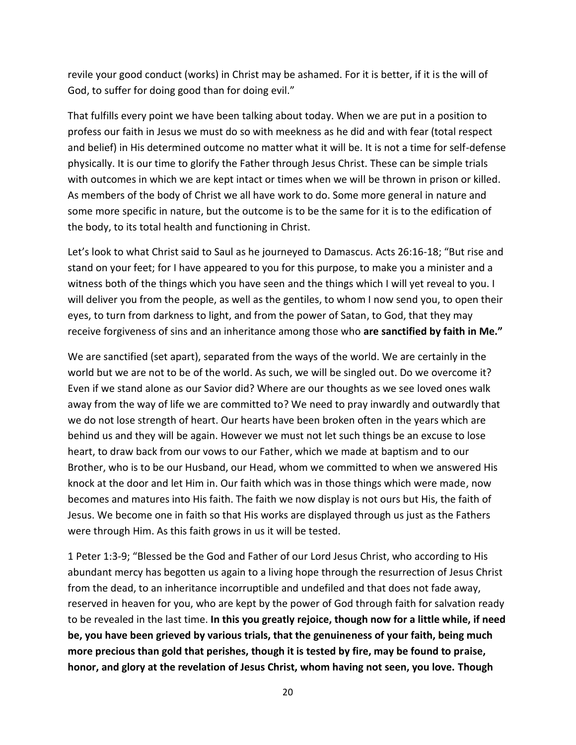revile your good conduct (works) in Christ may be ashamed. For it is better, if it is the will of God, to suffer for doing good than for doing evil."

That fulfills every point we have been talking about today. When we are put in a position to profess our faith in Jesus we must do so with meekness as he did and with fear (total respect and belief) in His determined outcome no matter what it will be. It is not a time for self-defense physically. It is our time to glorify the Father through Jesus Christ. These can be simple trials with outcomes in which we are kept intact or times when we will be thrown in prison or killed. As members of the body of Christ we all have work to do. Some more general in nature and some more specific in nature, but the outcome is to be the same for it is to the edification of the body, to its total health and functioning in Christ.

Let's look to what Christ said to Saul as he journeyed to Damascus. Acts 26:16-18; "But rise and stand on your feet; for I have appeared to you for this purpose, to make you a minister and a witness both of the things which you have seen and the things which I will yet reveal to you. I will deliver you from the people, as well as the gentiles, to whom I now send you, to open their eyes, to turn from darkness to light, and from the power of Satan, to God, that they may receive forgiveness of sins and an inheritance among those who **are sanctified by faith in Me."**

We are sanctified (set apart), separated from the ways of the world. We are certainly in the world but we are not to be of the world. As such, we will be singled out. Do we overcome it? Even if we stand alone as our Savior did? Where are our thoughts as we see loved ones walk away from the way of life we are committed to? We need to pray inwardly and outwardly that we do not lose strength of heart. Our hearts have been broken often in the years which are behind us and they will be again. However we must not let such things be an excuse to lose heart, to draw back from our vows to our Father, which we made at baptism and to our Brother, who is to be our Husband, our Head, whom we committed to when we answered His knock at the door and let Him in. Our faith which was in those things which were made, now becomes and matures into His faith. The faith we now display is not ours but His, the faith of Jesus. We become one in faith so that His works are displayed through us just as the Fathers were through Him. As this faith grows in us it will be tested.

1 Peter 1:3-9; "Blessed be the God and Father of our Lord Jesus Christ, who according to His abundant mercy has begotten us again to a living hope through the resurrection of Jesus Christ from the dead, to an inheritance incorruptible and undefiled and that does not fade away, reserved in heaven for you, who are kept by the power of God through faith for salvation ready to be revealed in the last time. **In this you greatly rejoice, though now for a little while, if need be, you have been grieved by various trials, that the genuineness of your faith, being much more precious than gold that perishes, though it is tested by fire, may be found to praise, honor, and glory at the revelation of Jesus Christ, whom having not seen, you love. Though**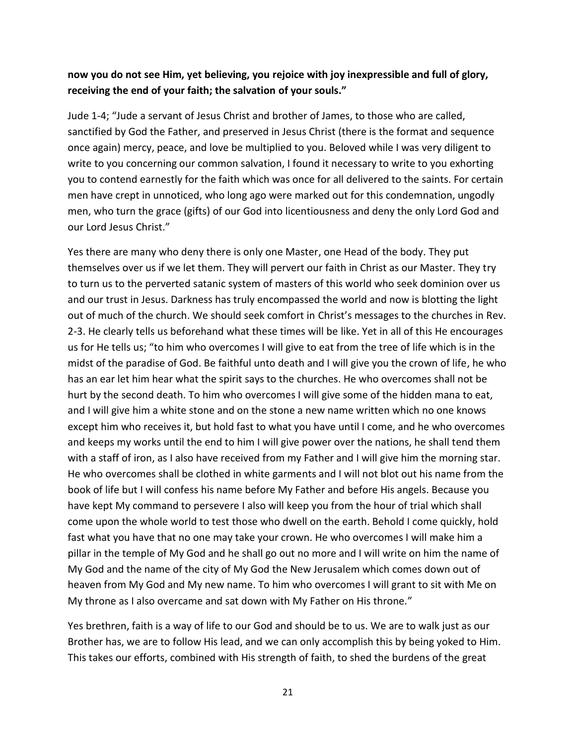#### **now you do not see Him, yet believing, you rejoice with joy inexpressible and full of glory, receiving the end of your faith; the salvation of your souls."**

Jude 1-4; "Jude a servant of Jesus Christ and brother of James, to those who are called, sanctified by God the Father, and preserved in Jesus Christ (there is the format and sequence once again) mercy, peace, and love be multiplied to you. Beloved while I was very diligent to write to you concerning our common salvation, I found it necessary to write to you exhorting you to contend earnestly for the faith which was once for all delivered to the saints. For certain men have crept in unnoticed, who long ago were marked out for this condemnation, ungodly men, who turn the grace (gifts) of our God into licentiousness and deny the only Lord God and our Lord Jesus Christ."

Yes there are many who deny there is only one Master, one Head of the body. They put themselves over us if we let them. They will pervert our faith in Christ as our Master. They try to turn us to the perverted satanic system of masters of this world who seek dominion over us and our trust in Jesus. Darkness has truly encompassed the world and now is blotting the light out of much of the church. We should seek comfort in Christ's messages to the churches in Rev. 2-3. He clearly tells us beforehand what these times will be like. Yet in all of this He encourages us for He tells us; "to him who overcomes I will give to eat from the tree of life which is in the midst of the paradise of God. Be faithful unto death and I will give you the crown of life, he who has an ear let him hear what the spirit says to the churches. He who overcomes shall not be hurt by the second death. To him who overcomes I will give some of the hidden mana to eat, and I will give him a white stone and on the stone a new name written which no one knows except him who receives it, but hold fast to what you have until I come, and he who overcomes and keeps my works until the end to him I will give power over the nations, he shall tend them with a staff of iron, as I also have received from my Father and I will give him the morning star. He who overcomes shall be clothed in white garments and I will not blot out his name from the book of life but I will confess his name before My Father and before His angels. Because you have kept My command to persevere I also will keep you from the hour of trial which shall come upon the whole world to test those who dwell on the earth. Behold I come quickly, hold fast what you have that no one may take your crown. He who overcomes I will make him a pillar in the temple of My God and he shall go out no more and I will write on him the name of My God and the name of the city of My God the New Jerusalem which comes down out of heaven from My God and My new name. To him who overcomes I will grant to sit with Me on My throne as I also overcame and sat down with My Father on His throne."

Yes brethren, faith is a way of life to our God and should be to us. We are to walk just as our Brother has, we are to follow His lead, and we can only accomplish this by being yoked to Him. This takes our efforts, combined with His strength of faith, to shed the burdens of the great